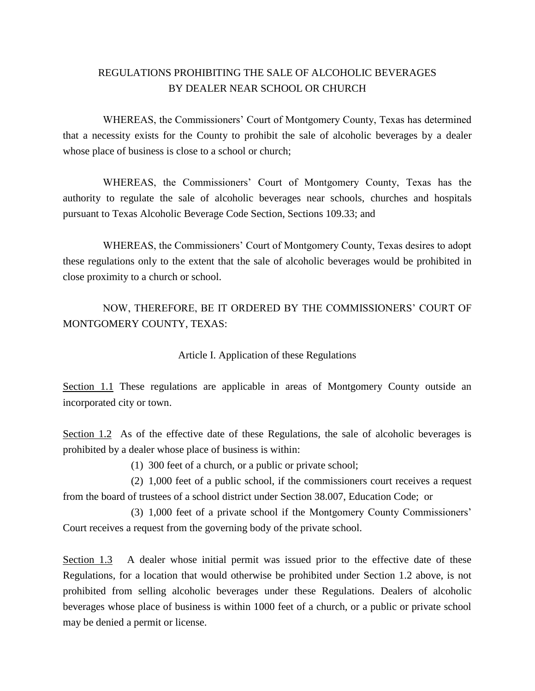# REGULATIONS PROHIBITING THE SALE OF ALCOHOLIC BEVERAGES BY DEALER NEAR SCHOOL OR CHURCH

WHEREAS, the Commissioners' Court of Montgomery County, Texas has determined that a necessity exists for the County to prohibit the sale of alcoholic beverages by a dealer whose place of business is close to a school or church;

WHEREAS, the Commissioners' Court of Montgomery County, Texas has the authority to regulate the sale of alcoholic beverages near schools, churches and hospitals pursuant to Texas Alcoholic Beverage Code Section, Sections 109.33; and

WHEREAS, the Commissioners' Court of Montgomery County, Texas desires to adopt these regulations only to the extent that the sale of alcoholic beverages would be prohibited in close proximity to a church or school.

NOW, THEREFORE, BE IT ORDERED BY THE COMMISSIONERS' COURT OF MONTGOMERY COUNTY, TEXAS:

Article I. Application of these Regulations

Section 1.1 These regulations are applicable in areas of Montgomery County outside an incorporated city or town.

Section 1.2 As of the effective date of these Regulations, the sale of alcoholic beverages is prohibited by a dealer whose place of business is within:

(1) 300 feet of a church, or a public or private school;

(2) 1,000 feet of a public school, if the commissioners court receives a request from the board of trustees of a school district under Section 38.007, Education Code; or

(3) 1,000 feet of a private school if the Montgomery County Commissioners' Court receives a request from the governing body of the private school.

Section 1.3 A dealer whose initial permit was issued prior to the effective date of these Regulations, for a location that would otherwise be prohibited under Section 1.2 above, is not prohibited from selling alcoholic beverages under these Regulations. Dealers of alcoholic beverages whose place of business is within 1000 feet of a church, or a public or private school may be denied a permit or license.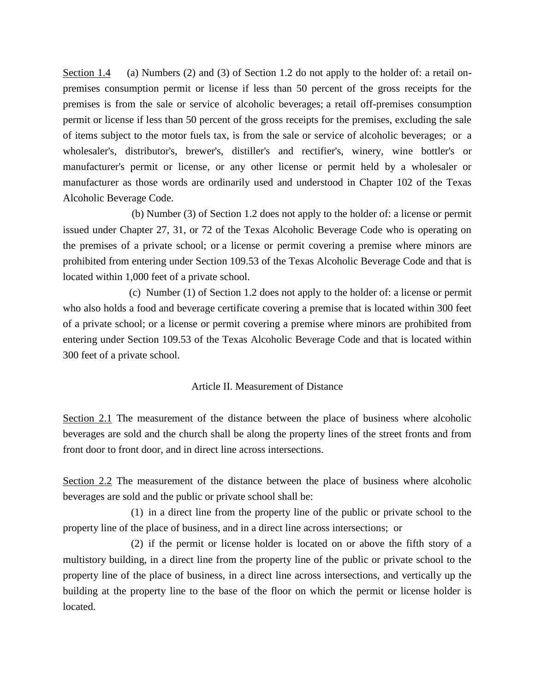Section 1.4 (a) Numbers (2) and (3) of Section 1.2 do not apply to the holder of: a retail onpremises consumption permit or license if less than 50 percent of the gross receipts for the premises is from the sale or service of alcoholic beverages; a retail off-premises consumption permit or license if less than 50 percent of the gross receipts for the premises, excluding the sale of items subject to the motor fuels tax, is from the sale or service of alcoholic beverages; or a wholesaler's, distributor's, brewer's, distiller's and rectifier's, winery, wine bottler's or manufacturer's permit or license, or any other license or permit held by a wholesaler or manufacturer as those words are ordinarily used and understood in Chapter 102 of the Texas Alcoholic Beverage Code.

 (b) Number (3) of Section 1.2 does not apply to the holder of: a license or permit issued under Chapter 27, 31, or 72 of the Texas Alcoholic Beverage Code who is operating on the premises of a private school; or a license or permit covering a premise where minors are prohibited from entering under Section 109.53 of the Texas Alcoholic Beverage Code and that is located within 1,000 feet of a private school.

 (c) Number (1) of Section 1.2 does not apply to the holder of: a license or permit who also holds a food and beverage certificate covering a premise that is located within 300 feet of a private school; or a license or permit covering a premise where minors are prohibited from entering under Section 109.53 of the Texas Alcoholic Beverage Code and that is located within 300 feet of a private school.

#### Article II. Measurement of Distance

Section 2.1 The measurement of the distance between the place of business where alcoholic beverages are sold and the church shall be along the property lines of the street fronts and from front door to front door, and in direct line across intersections.

Section 2.2 The measurement of the distance between the place of business where alcoholic beverages are sold and the public or private school shall be:

(1) in a direct line from the property line of the public or private school to the property line of the place of business, and in a direct line across intersections; or

(2) if the permit or license holder is located on or above the fifth story of a multistory building, in a direct line from the property line of the public or private school to the property line of the place of business, in a direct line across intersections, and vertically up the building at the property line to the base of the floor on which the permit or license holder is located.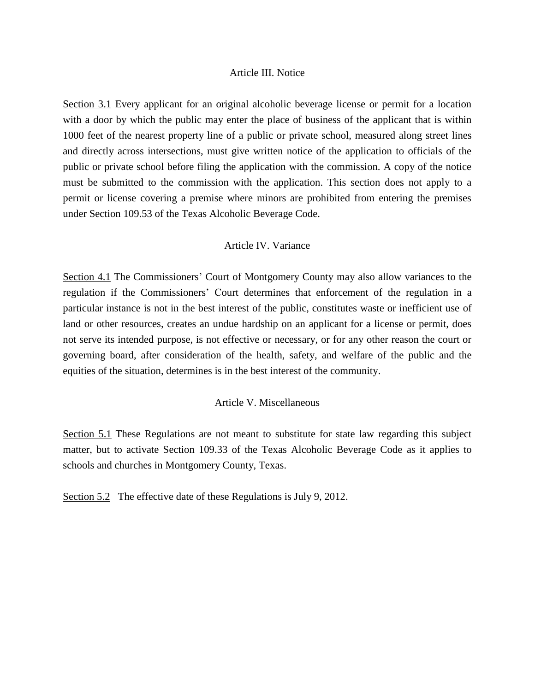#### Article III. Notice

Section 3.1 Every applicant for an original alcoholic beverage license or permit for a location with a door by which the public may enter the place of business of the applicant that is within 1000 feet of the nearest property line of a public or private school, measured along street lines and directly across intersections, must give written notice of the application to officials of the public or private school before filing the application with the commission. A copy of the notice must be submitted to the commission with the application. This section does not apply to a permit or license covering a premise where minors are prohibited from entering the premises under Section 109.53 of the Texas Alcoholic Beverage Code.

## Article IV. Variance

Section 4.1 The Commissioners' Court of Montgomery County may also allow variances to the regulation if the Commissioners' Court determines that enforcement of the regulation in a particular instance is not in the best interest of the public, constitutes waste or inefficient use of land or other resources, creates an undue hardship on an applicant for a license or permit, does not serve its intended purpose, is not effective or necessary, or for any other reason the court or governing board, after consideration of the health, safety, and welfare of the public and the equities of the situation, determines is in the best interest of the community.

#### Article V. Miscellaneous

Section 5.1 These Regulations are not meant to substitute for state law regarding this subject matter, but to activate Section 109.33 of the Texas Alcoholic Beverage Code as it applies to schools and churches in Montgomery County, Texas.

Section 5.2 The effective date of these Regulations is July 9, 2012.